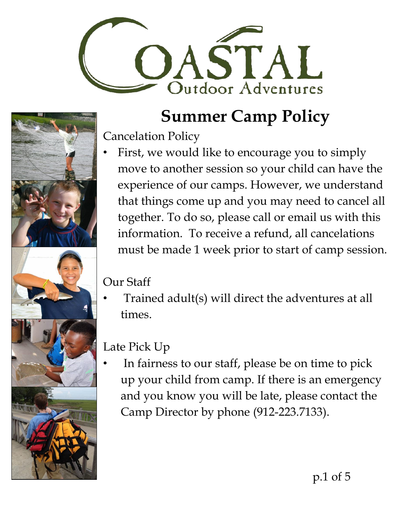

Cancelation Policy

First, we would like to encourage you to simply move to another session so your child can have the experience of our camps. However, we understand that things come up and you may need to cancel all together. To do so, please call or email us with this information. To receive a refund, all cancelations must be made 1 week prior to start of camp session.

#### Our Staff

• Trained adult(s) will direct the adventures at all times.

#### Late Pick Up

• In fairness to our staff, please be on time to pick up your child from camp. If there is an emergency and you know you will be late, please contact the Camp Director by phone (912-223.7133).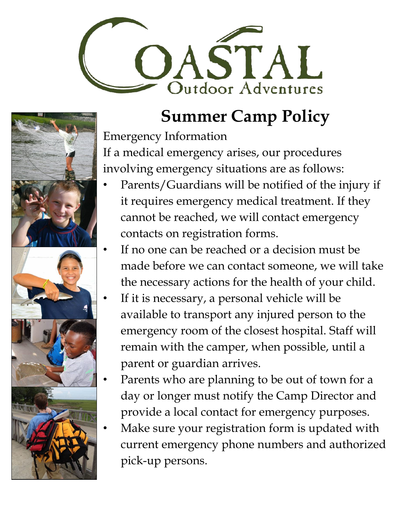



Emergency Information If a medical emergency arises, our procedures involving emergency situations are as follows:

- Parents/Guardians will be notified of the injury if it requires emergency medical treatment. If they cannot be reached, we will contact emergency contacts on registration forms.
- If no one can be reached or a decision must be made before we can contact someone, we will take the necessary actions for the health of your child.
	- If it is necessary, a personal vehicle will be available to transport any injured person to the emergency room of the closest hospital. Staff will remain with the camper, when possible, until a parent or guardian arrives.
- Parents who are planning to be out of town for a day or longer must notify the Camp Director and provide a local contact for emergency purposes.
- Make sure your registration form is updated with current emergency phone numbers and authorized pick-up persons.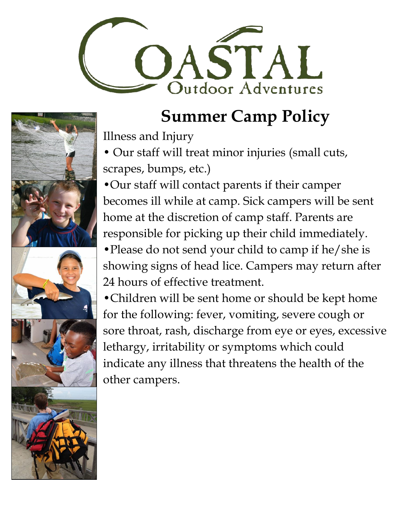

Illness and Injury

• Our staff will treat minor injuries (small cuts, scrapes, bumps, etc.)

•Our staff will contact parents if their camper becomes ill while at camp. Sick campers will be sent home at the discretion of camp staff. Parents are responsible for picking up their child immediately. •Please do not send your child to camp if he/she is

showing signs of head lice. Campers may return after 24 hours of effective treatment.

•Children will be sent home or should be kept home for the following: fever, vomiting, severe cough or sore throat, rash, discharge from eye or eyes, excessive lethargy, irritability or symptoms which could indicate any illness that threatens the health of the other campers.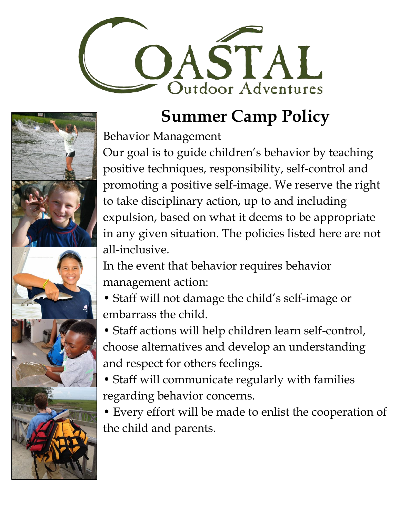

Behavior Management

Our goal is to guide children's behavior by teaching positive techniques, responsibility, self-control and promoting a positive self-image. We reserve the right to take disciplinary action, up to and including expulsion, based on what it deems to be appropriate in any given situation. The policies listed here are not all-inclusive.

In the event that behavior requires behavior management action:

• Staff will not damage the child's self-image or embarrass the child.

• Staff actions will help children learn self-control, choose alternatives and develop an understanding and respect for others feelings.

• Staff will communicate regularly with families regarding behavior concerns.

• Every effort will be made to enlist the cooperation of the child and parents.